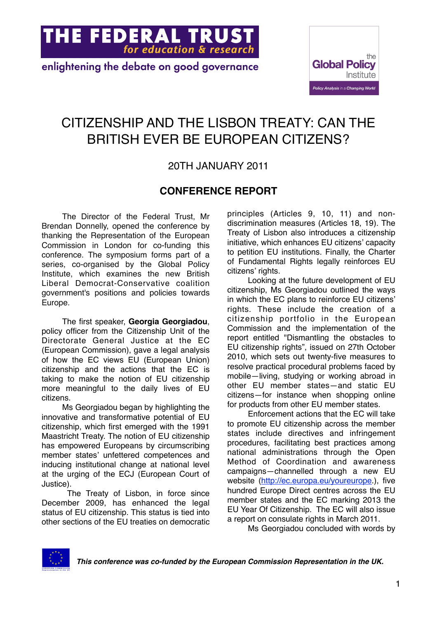

enlightening the debate on good governance



### CITIZENSHIP AND THE LISBON TREATY: CAN THE BRITISH EVER BE EUROPEAN CITIZENS?

#### 20TH JANUARY 2011

#### **CONFERENCE REPORT**

The Director of the Federal Trust, Mr Brendan Donnelly, opened the conference by thanking the Representation of the European Commission in London for co-funding this conference. The symposium forms part of a series, co-organised by the Global Policy Institute, which examines the new British Liberal Democrat-Conservative coalition government's positions and policies towards Europe.

The first speaker, **Georgia Georgiadou**, policy officer from the Citizenship Unit of the Directorate General Justice at the EC (European Commission), gave a legal analysis of how the EC views EU (European Union) citizenship and the actions that the EC is taking to make the notion of EU citizenship more meaningful to the daily lives of EU citizens.

Ms Georgiadou began by highlighting the innovative and transformative potential of EU citizenship, which first emerged with the 1991 Maastricht Treaty. The notion of EU citizenship has empowered Europeans by circumscribing member states' unfettered competences and inducing institutional change at national level at the urging of the ECJ (European Court of Justice).

 The Treaty of Lisbon, in force since December 2009, has enhanced the legal status of EU citizenship. This status is tied into other sections of the EU treaties on democratic

principles (Articles 9, 10, 11) and nondiscrimination measures (Articles 18, 19). The Treaty of Lisbon also introduces a citizenship initiative, which enhances EU citizens' capacity to petition EU institutions. Finally, the Charter of Fundamental Rights legally reinforces EU citizens' rights.

Looking at the future development of EU citizenship, Ms Georgiadou outlined the ways in which the EC plans to reinforce EU citizens' rights. These include the creation of a citizenship portfolio in the European Commission and the implementation of the report entitled "Dismantling the obstacles to EU citizenship rights", issued on 27th October 2010, which sets out twenty-five measures to resolve practical procedural problems faced by mobile—living, studying or working abroad in other EU member states—and static EU citizens—for instance when shopping online for products from other EU member states.

Enforcement actions that the EC will take to promote EU citizenship across the member states include directives and infringement procedures, facilitating best practices among national administrations through the Open Method of Coordination and awareness campaigns—channelled through a new EU website (<http://ec.europa.eu/youreurope>.), five hundred Europe Direct centres across the EU member states and the EC marking 2013 the EU Year Of Citizenship. The EC will also issue a report on consulate rights in March 2011.

Ms Georgiadou concluded with words by

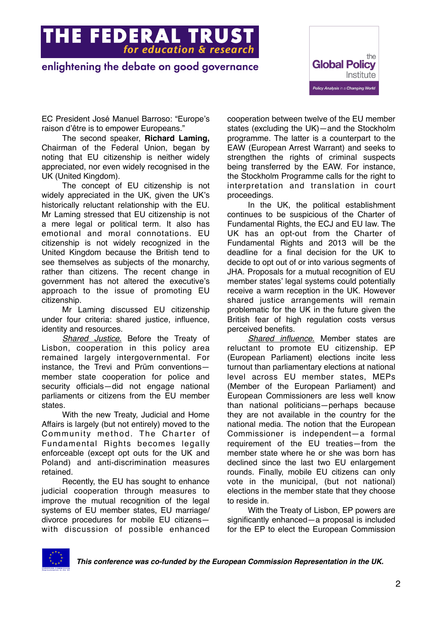## **THE FEDERAL TRUST**

#### enlightening the debate on good governance



EC President José Manuel Barroso: "Europe's raison d'être is to empower Europeans."

The second speaker, **Richard Laming,** Chairman of the Federal Union, began by noting that EU citizenship is neither widely appreciated, nor even widely recognised in the UK (United Kingdom).

The concept of EU citizenship is not widely appreciated in the UK, given the UK's historically reluctant relationship with the EU. Mr Laming stressed that EU citizenship is not a mere legal or political term. It also has emotional and moral connotations. EU citizenship is not widely recognized in the United Kingdom because the British tend to see themselves as subjects of the monarchy, rather than citizens. The recent change in government has not altered the executive's approach to the issue of promoting EU citizenship.

Mr Laming discussed EU citizenship under four criteria: shared justice, influence, identity and resources.

*Shared Justice.* Before the Treaty of Lisbon, cooperation in this policy area remained largely intergovernmental. For instance, the Trevi and Prüm conventions member state cooperation for police and security officials—did not engage national parliaments or citizens from the EU member states.

With the new Treaty, Judicial and Home Affairs is largely (but not entirely) moved to the Community method. The Charter of Fundamental Rights becomes legally enforceable (except opt outs for the UK and Poland) and anti-discrimination measures retained.

Recently, the EU has sought to enhance judicial cooperation through measures to improve the mutual recognition of the legal systems of EU member states, EU marriage/ divorce procedures for mobile EU citizens with discussion of possible enhanced

cooperation between twelve of the EU member states (excluding the UK)—and the Stockholm programme. The latter is a counterpart to the EAW (European Arrest Warrant) and seeks to strengthen the rights of criminal suspects being transferred by the EAW. For instance, the Stockholm Programme calls for the right to interpretation and translation in court proceedings.

In the UK, the political establishment continues to be suspicious of the Charter of Fundamental Rights, the ECJ and EU law. The UK has an opt-out from the Charter of Fundamental Rights and 2013 will be the deadline for a final decision for the UK to decide to opt out of or into various segments of JHA. Proposals for a mutual recognition of EU member states' legal systems could potentially receive a warm reception in the UK. However shared justice arrangements will remain problematic for the UK in the future given the British fear of high regulation costs versus perceived benefits.

*Shared influence.* Member states are reluctant to promote EU citizenship. EP (European Parliament) elections incite less turnout than parliamentary elections at national level across EU member states, MEPs (Member of the European Parliament) and European Commissioners are less well know than national politicians—perhaps because they are not available in the country for the national media. The notion that the European Commissioner is independent—a formal requirement of the EU treaties—from the member state where he or she was born has declined since the last two EU enlargement rounds. Finally, mobile EU citizens can only vote in the municipal, (but not national) elections in the member state that they choose to reside in.

With the Treaty of Lisbon, EP powers are significantly enhanced—a proposal is included for the EP to elect the European Commission

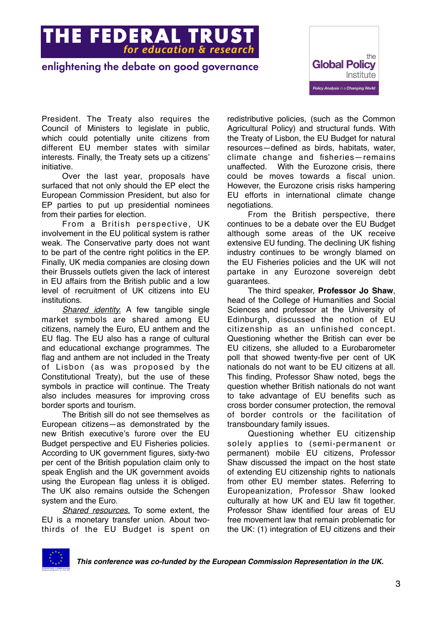**THE FEDERAL TRUST** 

#### enlightening the debate on good governance



President. The Treaty also requires the Council of Ministers to legislate in public, which could potentially unite citizens from different EU member states with similar interests. Finally, the Treaty sets up a citizens' initiative.

Over the last year, proposals have surfaced that not only should the EP elect the European Commission President, but also for EP parties to put up presidential nominees from their parties for election.

From a British perspective, UK involvement in the EU political system is rather weak. The Conservative party does not want to be part of the centre right politics in the EP. Finally, UK media companies are closing down their Brussels outlets given the lack of interest in EU affairs from the British public and a low level of recruitment of UK citizens into EU institutions.

*Shared identity.* A few tangible single market symbols are shared among EU citizens, namely the Euro, EU anthem and the EU flag. The EU also has a range of cultural and educational exchange programmes. The flag and anthem are not included in the Treaty of Lisbon (as was proposed by the Constitutional Treaty), but the use of these symbols in practice will continue. The Treaty also includes measures for improving cross border sports and tourism.

The British sill do not see themselves as European citizens—as demonstrated by the new British executive's furore over the EU Budget perspective and EU Fisheries policies. According to UK government figures, sixty-two per cent of the British population claim only to speak English and the UK government avoids using the European flag unless it is obliged. The UK also remains outside the Schengen system and the Euro.

*Shared resources.* To some extent, the EU is a monetary transfer union. About twothirds of the EU Budget is spent on

redistributive policies, (such as the Common Agricultural Policy) and structural funds. With the Treaty of Lisbon, the EU Budget for natural resources—defined as birds, habitats, water, climate change and fisheries—remains unaffected. With the Eurozone crisis, there could be moves towards a fiscal union. However, the Eurozone crisis risks hampering EU efforts in international climate change negotiations.

From the British perspective, there continues to be a debate over the EU Budget although some areas of the UK receive extensive EU funding. The declining UK fishing industry continues to be wrongly blamed on the EU Fisheries policies and the UK will not partake in any Eurozone sovereign debt guarantees.

The third speaker, **Professor Jo Shaw**, head of the College of Humanities and Social Sciences and professor at the University of Edinburgh, discussed the notion of EU citizenship as an unfinished concept. Questioning whether the British can ever be EU citizens, she alluded to a Eurobarometer poll that showed twenty-five per cent of UK nationals do not want to be EU citizens at all. This finding, Professor Shaw noted, begs the question whether British nationals do not want to take advantage of EU benefits such as cross border consumer protection, the removal of border controls or the facilitation of transboundary family issues.

Questioning whether EU citizenship solely applies to (semi-permanent or permanent) mobile EU citizens, Professor Shaw discussed the impact on the host state of extending EU citizenship rights to nationals from other EU member states. Referring to Europeanization, Professor Shaw looked culturally at how UK and EU law fit together. Professor Shaw identified four areas of EU free movement law that remain problematic for the UK: (1) integration of EU citizens and their

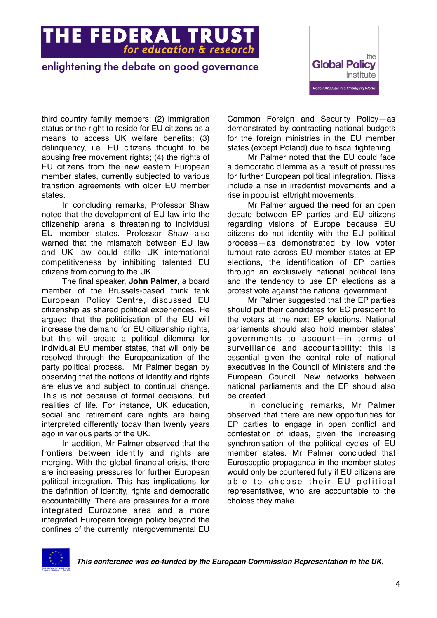## **THE FEDERAL TRUST**<br>for education & research

#### enlightening the debate on good governance



third country family members; (2) immigration status or the right to reside for EU citizens as a means to access UK welfare benefits; (3) delinquency, i.e. EU citizens thought to be abusing free movement rights; (4) the rights of EU citizens from the new eastern European member states, currently subjected to various transition agreements with older EU member states.

In concluding remarks, Professor Shaw noted that the development of EU law into the citizenship arena is threatening to individual EU member states. Professor Shaw also warned that the mismatch between EU law and UK law could stifle UK international competitiveness by inhibiting talented EU citizens from coming to the UK.

The final speaker, **John Palmer**, a board member of the Brussels-based think tank European Policy Centre, discussed EU citizenship as shared political experiences. He argued that the politicisation of the EU will increase the demand for EU citizenship rights; but this will create a political dilemma for individual EU member states, that will only be resolved through the Europeanization of the party political process. Mr Palmer began by observing that the notions of identity and rights are elusive and subject to continual change. This is not because of formal decisions, but realities of life. For instance, UK education, social and retirement care rights are being interpreted differently today than twenty years ago in various parts of the UK.

In addition, Mr Palmer observed that the frontiers between identity and rights are merging. With the global financial crisis, there are increasing pressures for further European political integration. This has implications for the definition of identity, rights and democratic accountability. There are pressures for a more integrated Eurozone area and a more integrated European foreign policy beyond the confines of the currently intergovernmental EU

Common Foreign and Security Policy—as demonstrated by contracting national budgets for the foreign ministries in the EU member states (except Poland) due to fiscal tightening.

Mr Palmer noted that the EU could face a democratic dilemma as a result of pressures for further European political integration. Risks include a rise in irredentist movements and a rise in populist left/right movements.

Mr Palmer argued the need for an open debate between EP parties and EU citizens regarding visions of Europe because EU citizens do not identity with the EU political process—as demonstrated by low voter turnout rate across EU member states at EP elections, the identification of EP parties through an exclusively national political lens and the tendency to use EP elections as a protest vote against the national government.

Mr Palmer suggested that the EP parties should put their candidates for EC president to the voters at the next EP elections. National parliaments should also hold member states' governments to account—in terms of surveillance and accountability: this is essential given the central role of national executives in the Council of Ministers and the European Council. New networks between national parliaments and the EP should also be created.

In concluding remarks, Mr Palmer observed that there are new opportunities for EP parties to engage in open conflict and contestation of ideas, given the increasing synchronisation of the political cycles of EU member states. Mr Palmer concluded that Eurosceptic propaganda in the member states would only be countered fully if EU citizens are able to choose their EU political representatives, who are accountable to the choices they make.